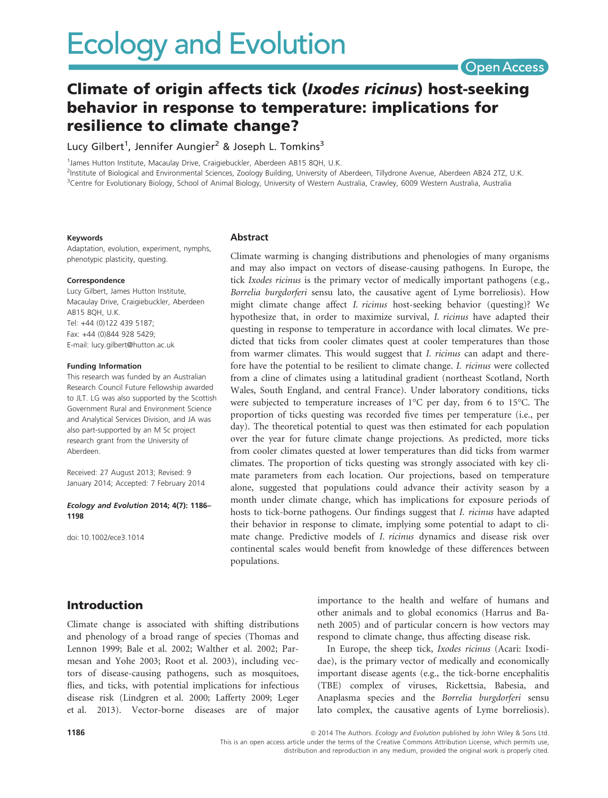# Open Access

# Climate of origin affects tick (Ixodes ricinus) host-seeking behavior in response to temperature: implications for resilience to climate change?

Lucy Gilbert<sup>1</sup>, Jennifer Aungier<sup>2</sup> & Joseph L. Tomkins<sup>3</sup>

<sup>1</sup>James Hutton Institute, Macaulay Drive, Craigiebuckler, Aberdeen AB15 8QH, U.K. 2 Institute of Biological and Environmental Sciences, Zoology Building, University of Aberdeen, Tillydrone Avenue, Aberdeen AB24 2TZ, U.K. <sup>3</sup>Centre for Evolutionary Biology, School of Animal Biology, University of Western Australia, Crawley, 6009 Western Australia, Australia

#### Keywords

Adaptation, evolution, experiment, nymphs, phenotypic plasticity, questing.

#### Correspondence

Lucy Gilbert, James Hutton Institute, Macaulay Drive, Craigiebuckler, Aberdeen AB15 8QH, U.K. Tel: +44 (0)122 439 5187; Fax: +44 (0)844 928 5429; E-mail: lucy.gilbert@hutton.ac.uk

#### Funding Information

This research was funded by an Australian Research Council Future Fellowship awarded to JLT. LG was also supported by the Scottish Government Rural and Environment Science and Analytical Services Division, and JA was also part-supported by an M Sc project research grant from the University of Aberdeen.

Received: 27 August 2013; Revised: 9 January 2014; Accepted: 7 February 2014

#### Ecology and Evolution 2014; 4(7): 1186– 1198

doi: 10.1002/ece3.1014

Introduction

## **Abstract**

Climate warming is changing distributions and phenologies of many organisms and may also impact on vectors of disease-causing pathogens. In Europe, the tick Ixodes ricinus is the primary vector of medically important pathogens (e.g., Borrelia burgdorferi sensu lato, the causative agent of Lyme borreliosis). How might climate change affect I. ricinus host-seeking behavior (questing)? We hypothesize that, in order to maximize survival, I. ricinus have adapted their questing in response to temperature in accordance with local climates. We predicted that ticks from cooler climates quest at cooler temperatures than those from warmer climates. This would suggest that I. *ricinus* can adapt and therefore have the potential to be resilient to climate change. I. ricinus were collected from a cline of climates using a latitudinal gradient (northeast Scotland, North Wales, South England, and central France). Under laboratory conditions, ticks were subjected to temperature increases of  $1^{\circ}$ C per day, from 6 to 15 $^{\circ}$ C. The proportion of ticks questing was recorded five times per temperature (i.e., per day). The theoretical potential to quest was then estimated for each population over the year for future climate change projections. As predicted, more ticks from cooler climates quested at lower temperatures than did ticks from warmer climates. The proportion of ticks questing was strongly associated with key climate parameters from each location. Our projections, based on temperature alone, suggested that populations could advance their activity season by a month under climate change, which has implications for exposure periods of hosts to tick-borne pathogens. Our findings suggest that I. ricinus have adapted their behavior in response to climate, implying some potential to adapt to climate change. Predictive models of I. ricinus dynamics and disease risk over continental scales would benefit from knowledge of these differences between populations.

Climate change is associated with shifting distributions and phenology of a broad range of species (Thomas and Lennon 1999; Bale et al. 2002; Walther et al. 2002; Parmesan and Yohe 2003; Root et al. 2003), including vectors of disease-causing pathogens, such as mosquitoes, flies, and ticks, with potential implications for infectious disease risk (Lindgren et al. 2000; Lafferty 2009; Leger et al. 2013). Vector-borne diseases are of major importance to the health and welfare of humans and other animals and to global economics (Harrus and Baneth 2005) and of particular concern is how vectors may respond to climate change, thus affecting disease risk.

In Europe, the sheep tick, Ixodes ricinus (Acari: Ixodidae), is the primary vector of medically and economically important disease agents (e.g., the tick-borne encephalitis (TBE) complex of viruses, Rickettsia, Babesia, and Anaplasma species and the Borrelia burgdorferi sensu lato complex, the causative agents of Lyme borreliosis).

This is an open access article under the terms of the Creative Commons Attribution License, which permits use, distribution and reproduction in any medium, provided the original work is properly cited.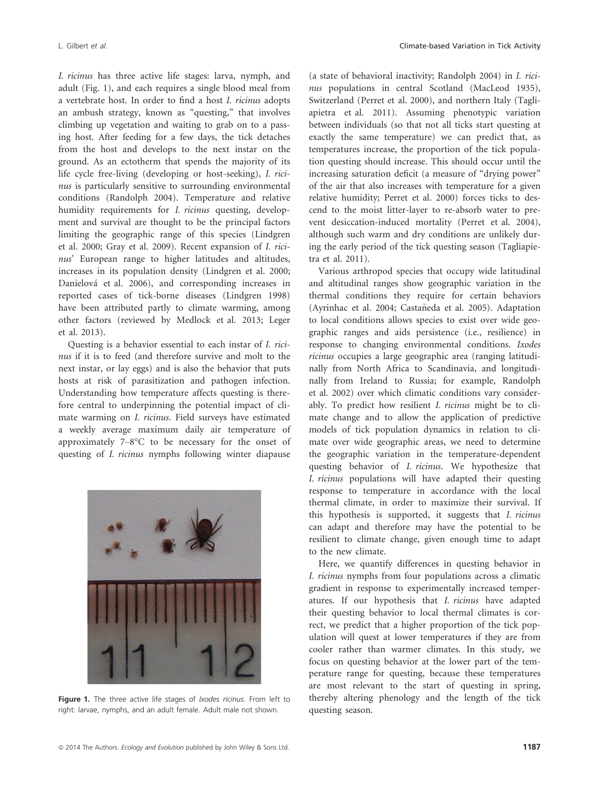I. ricinus has three active life stages: larva, nymph, and adult (Fig. 1), and each requires a single blood meal from a vertebrate host. In order to find a host I. ricinus adopts an ambush strategy, known as "questing," that involves climbing up vegetation and waiting to grab on to a passing host. After feeding for a few days, the tick detaches from the host and develops to the next instar on the ground. As an ectotherm that spends the majority of its life cycle free-living (developing or host-seeking), I. ricinus is particularly sensitive to surrounding environmental conditions (Randolph 2004). Temperature and relative humidity requirements for *I. ricinus* questing, development and survival are thought to be the principal factors limiting the geographic range of this species (Lindgren et al. 2000; Gray et al. 2009). Recent expansion of I. ricinus' European range to higher latitudes and altitudes, increases in its population density (Lindgren et al. 2000; Danielova et al. 2006), and corresponding increases in reported cases of tick-borne diseases (Lindgren 1998) have been attributed partly to climate warming, among other factors (reviewed by Medlock et al. 2013; Leger et al. 2013).

Questing is a behavior essential to each instar of I. ricinus if it is to feed (and therefore survive and molt to the next instar, or lay eggs) and is also the behavior that puts hosts at risk of parasitization and pathogen infection. Understanding how temperature affects questing is therefore central to underpinning the potential impact of climate warming on I. ricinus. Field surveys have estimated a weekly average maximum daily air temperature of approximately 7–8°C to be necessary for the onset of questing of I. ricinus nymphs following winter diapause



Figure 1. The three active life stages of *Ixodes ricinus*. From left to right: larvae, nymphs, and an adult female. Adult male not shown.

(a state of behavioral inactivity; Randolph 2004) in I. ricinus populations in central Scotland (MacLeod 1935), Switzerland (Perret et al. 2000), and northern Italy (Tagliapietra et al. 2011). Assuming phenotypic variation between individuals (so that not all ticks start questing at exactly the same temperature) we can predict that, as temperatures increase, the proportion of the tick population questing should increase. This should occur until the increasing saturation deficit (a measure of "drying power" of the air that also increases with temperature for a given relative humidity; Perret et al. 2000) forces ticks to descend to the moist litter-layer to re-absorb water to prevent desiccation-induced mortality (Perret et al. 2004), although such warm and dry conditions are unlikely during the early period of the tick questing season (Tagliapietra et al. 2011).

Various arthropod species that occupy wide latitudinal and altitudinal ranges show geographic variation in the thermal conditions they require for certain behaviors (Ayrinhac et al. 2004; Castañeda et al. 2005). Adaptation to local conditions allows species to exist over wide geographic ranges and aids persistence (i.e., resilience) in response to changing environmental conditions. Ixodes ricinus occupies a large geographic area (ranging latitudinally from North Africa to Scandinavia, and longitudinally from Ireland to Russia; for example, Randolph et al. 2002) over which climatic conditions vary considerably. To predict how resilient I. ricinus might be to climate change and to allow the application of predictive models of tick population dynamics in relation to climate over wide geographic areas, we need to determine the geographic variation in the temperature-dependent questing behavior of I. ricinus. We hypothesize that I. ricinus populations will have adapted their questing response to temperature in accordance with the local thermal climate, in order to maximize their survival. If this hypothesis is supported, it suggests that I. ricinus can adapt and therefore may have the potential to be resilient to climate change, given enough time to adapt to the new climate.

Here, we quantify differences in questing behavior in I. ricinus nymphs from four populations across a climatic gradient in response to experimentally increased temperatures. If our hypothesis that I. ricinus have adapted their questing behavior to local thermal climates is correct, we predict that a higher proportion of the tick population will quest at lower temperatures if they are from cooler rather than warmer climates. In this study, we focus on questing behavior at the lower part of the temperature range for questing, because these temperatures are most relevant to the start of questing in spring, thereby altering phenology and the length of the tick questing season.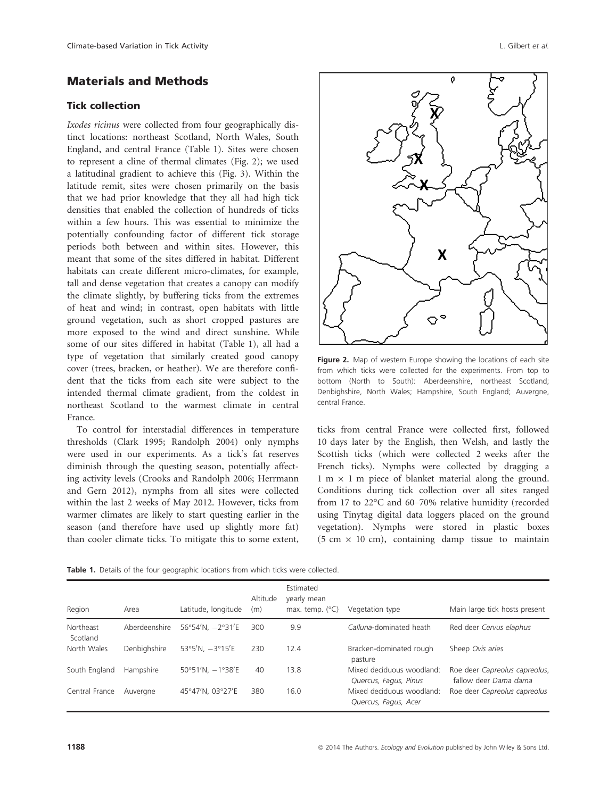# Materials and Methods

### Tick collection

Ixodes ricinus were collected from four geographically distinct locations: northeast Scotland, North Wales, South England, and central France (Table 1). Sites were chosen to represent a cline of thermal climates (Fig. 2); we used a latitudinal gradient to achieve this (Fig. 3). Within the latitude remit, sites were chosen primarily on the basis that we had prior knowledge that they all had high tick densities that enabled the collection of hundreds of ticks within a few hours. This was essential to minimize the potentially confounding factor of different tick storage periods both between and within sites. However, this meant that some of the sites differed in habitat. Different habitats can create different micro-climates, for example, tall and dense vegetation that creates a canopy can modify the climate slightly, by buffering ticks from the extremes of heat and wind; in contrast, open habitats with little ground vegetation, such as short cropped pastures are more exposed to the wind and direct sunshine. While some of our sites differed in habitat (Table 1), all had a type of vegetation that similarly created good canopy cover (trees, bracken, or heather). We are therefore confident that the ticks from each site were subject to the intended thermal climate gradient, from the coldest in northeast Scotland to the warmest climate in central France.

To control for interstadial differences in temperature thresholds (Clark 1995; Randolph 2004) only nymphs were used in our experiments. As a tick's fat reserves diminish through the questing season, potentially affecting activity levels (Crooks and Randolph 2006; Herrmann and Gern 2012), nymphs from all sites were collected within the last 2 weeks of May 2012. However, ticks from warmer climates are likely to start questing earlier in the season (and therefore have used up slightly more fat) than cooler climate ticks. To mitigate this to some extent,



Figure 2. Map of western Europe showing the locations of each site from which ticks were collected for the experiments. From top to bottom (North to South): Aberdeenshire, northeast Scotland; Denbighshire, North Wales; Hampshire, South England; Auvergne, central France.

ticks from central France were collected first, followed 10 days later by the English, then Welsh, and lastly the Scottish ticks (which were collected 2 weeks after the French ticks). Nymphs were collected by dragging a 1 m  $\times$  1 m piece of blanket material along the ground. Conditions during tick collection over all sites ranged from 17 to 22°C and 60–70% relative humidity (recorded using Tinytag digital data loggers placed on the ground vegetation). Nymphs were stored in plastic boxes  $(5 \text{ cm} \times 10 \text{ cm})$ , containing damp tissue to maintain

Table 1. Details of the four geographic locations from which ticks were collected.

|                       |               |                     | Altitude | Estimated<br>yearly mean |                                                    |                                                        |
|-----------------------|---------------|---------------------|----------|--------------------------|----------------------------------------------------|--------------------------------------------------------|
| Region                | Area          | Latitude, longitude | (m)      | max. temp. $(^{\circ}C)$ | Vegetation type                                    | Main large tick hosts present                          |
| Northeast<br>Scotland | Aberdeenshire | 56°54'N, $-2°31'E$  | 300      | 9.9                      | Calluna-dominated heath                            | Red deer Cervus elaphus                                |
| North Wales           | Denbighshire  | 53°5'N, $-3°15'E$   | 230      | 12.4                     | Bracken-dominated rough<br>pasture                 | Sheep Ovis aries                                       |
| South England         | Hampshire     | 50°51'N, $-1$ °38'E | 40       | 13.8                     | Mixed deciduous woodland:<br>Quercus, Fagus, Pinus | Roe deer Capreolus capreolus,<br>fallow deer Dama dama |
| Central France        | Auvergne      | 45°47'N, 03°27'E    | 380      | 16.0                     | Mixed deciduous woodland:<br>Quercus, Fagus, Acer  | Roe deer Capreolus capreolus                           |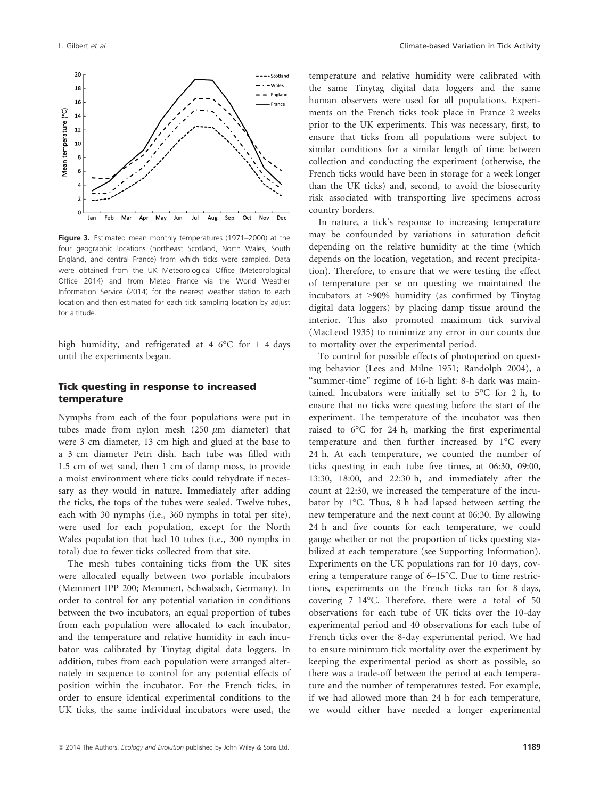

Figure 3. Estimated mean monthly temperatures (1971–2000) at the four geographic locations (northeast Scotland, North Wales, South England, and central France) from which ticks were sampled. Data were obtained from the UK Meteorological Office (Meteorological Office 2014) and from Meteo France via the World Weather Information Service (2014) for the nearest weather station to each location and then estimated for each tick sampling location by adjust for altitude.

high humidity, and refrigerated at 4–6°C for 1–4 days until the experiments began.

#### Tick questing in response to increased temperature

Nymphs from each of the four populations were put in tubes made from nylon mesh  $(250 \mu m)$  diameter) that were 3 cm diameter, 13 cm high and glued at the base to a 3 cm diameter Petri dish. Each tube was filled with 1.5 cm of wet sand, then 1 cm of damp moss, to provide a moist environment where ticks could rehydrate if necessary as they would in nature. Immediately after adding the ticks, the tops of the tubes were sealed. Twelve tubes, each with 30 nymphs (i.e., 360 nymphs in total per site), were used for each population, except for the North Wales population that had 10 tubes (i.e., 300 nymphs in total) due to fewer ticks collected from that site.

The mesh tubes containing ticks from the UK sites were allocated equally between two portable incubators (Memmert IPP 200; Memmert, Schwabach, Germany). In order to control for any potential variation in conditions between the two incubators, an equal proportion of tubes from each population were allocated to each incubator, and the temperature and relative humidity in each incubator was calibrated by Tinytag digital data loggers. In addition, tubes from each population were arranged alternately in sequence to control for any potential effects of position within the incubator. For the French ticks, in order to ensure identical experimental conditions to the UK ticks, the same individual incubators were used, the temperature and relative humidity were calibrated with the same Tinytag digital data loggers and the same human observers were used for all populations. Experiments on the French ticks took place in France 2 weeks prior to the UK experiments. This was necessary, first, to ensure that ticks from all populations were subject to similar conditions for a similar length of time between collection and conducting the experiment (otherwise, the French ticks would have been in storage for a week longer than the UK ticks) and, second, to avoid the biosecurity risk associated with transporting live specimens across country borders.

In nature, a tick's response to increasing temperature may be confounded by variations in saturation deficit depending on the relative humidity at the time (which depends on the location, vegetation, and recent precipitation). Therefore, to ensure that we were testing the effect of temperature per se on questing we maintained the incubators at >90% humidity (as confirmed by Tinytag digital data loggers) by placing damp tissue around the interior. This also promoted maximum tick survival (MacLeod 1935) to minimize any error in our counts due to mortality over the experimental period.

To control for possible effects of photoperiod on questing behavior (Lees and Milne 1951; Randolph 2004), a "summer-time" regime of 16-h light: 8-h dark was maintained. Incubators were initially set to 5°C for 2 h, to ensure that no ticks were questing before the start of the experiment. The temperature of the incubator was then raised to 6°C for 24 h, marking the first experimental temperature and then further increased by 1°C every 24 h. At each temperature, we counted the number of ticks questing in each tube five times, at 06:30, 09:00, 13:30, 18:00, and 22:30 h, and immediately after the count at 22:30, we increased the temperature of the incubator by 1°C. Thus, 8 h had lapsed between setting the new temperature and the next count at 06:30. By allowing 24 h and five counts for each temperature, we could gauge whether or not the proportion of ticks questing stabilized at each temperature (see Supporting Information). Experiments on the UK populations ran for 10 days, covering a temperature range of 6–15°C. Due to time restrictions, experiments on the French ticks ran for 8 days, covering 7–14°C. Therefore, there were a total of 50 observations for each tube of UK ticks over the 10-day experimental period and 40 observations for each tube of French ticks over the 8-day experimental period. We had to ensure minimum tick mortality over the experiment by keeping the experimental period as short as possible, so there was a trade-off between the period at each temperature and the number of temperatures tested. For example, if we had allowed more than 24 h for each temperature, we would either have needed a longer experimental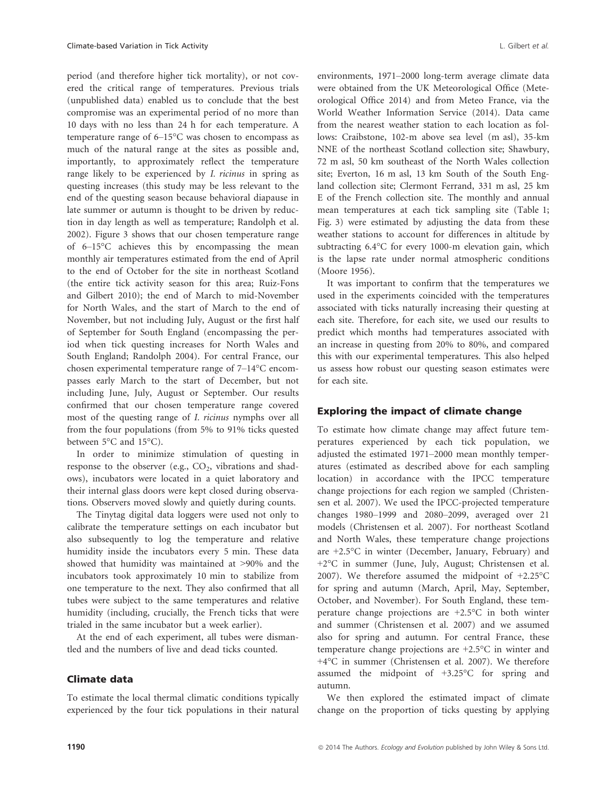period (and therefore higher tick mortality), or not covered the critical range of temperatures. Previous trials (unpublished data) enabled us to conclude that the best compromise was an experimental period of no more than 10 days with no less than 24 h for each temperature. A temperature range of 6–15°C was chosen to encompass as much of the natural range at the sites as possible and, importantly, to approximately reflect the temperature range likely to be experienced by I. ricinus in spring as questing increases (this study may be less relevant to the end of the questing season because behavioral diapause in late summer or autumn is thought to be driven by reduction in day length as well as temperature; Randolph et al. 2002). Figure 3 shows that our chosen temperature range of 6–15°C achieves this by encompassing the mean monthly air temperatures estimated from the end of April to the end of October for the site in northeast Scotland (the entire tick activity season for this area; Ruiz-Fons and Gilbert 2010); the end of March to mid-November for North Wales, and the start of March to the end of November, but not including July, August or the first half of September for South England (encompassing the period when tick questing increases for North Wales and South England; Randolph 2004). For central France, our chosen experimental temperature range of 7–14°C encompasses early March to the start of December, but not including June, July, August or September. Our results confirmed that our chosen temperature range covered most of the questing range of I. ricinus nymphs over all from the four populations (from 5% to 91% ticks quested between 5°C and 15°C).

In order to minimize stimulation of questing in response to the observer (e.g.,  $CO<sub>2</sub>$ , vibrations and shadows), incubators were located in a quiet laboratory and their internal glass doors were kept closed during observations. Observers moved slowly and quietly during counts.

The Tinytag digital data loggers were used not only to calibrate the temperature settings on each incubator but also subsequently to log the temperature and relative humidity inside the incubators every 5 min. These data showed that humidity was maintained at >90% and the incubators took approximately 10 min to stabilize from one temperature to the next. They also confirmed that all tubes were subject to the same temperatures and relative humidity (including, crucially, the French ticks that were trialed in the same incubator but a week earlier).

At the end of each experiment, all tubes were dismantled and the numbers of live and dead ticks counted.

#### Climate data

To estimate the local thermal climatic conditions typically experienced by the four tick populations in their natural

environments, 1971–2000 long-term average climate data were obtained from the UK Meteorological Office (Meteorological Office 2014) and from Meteo France, via the World Weather Information Service (2014). Data came from the nearest weather station to each location as follows: Craibstone, 102-m above sea level (m asl), 35-km NNE of the northeast Scotland collection site; Shawbury, 72 m asl, 50 km southeast of the North Wales collection site; Everton, 16 m asl, 13 km South of the South England collection site; Clermont Ferrand, 331 m asl, 25 km E of the French collection site. The monthly and annual mean temperatures at each tick sampling site (Table 1; Fig. 3) were estimated by adjusting the data from these weather stations to account for differences in altitude by subtracting 6.4°C for every 1000-m elevation gain, which is the lapse rate under normal atmospheric conditions (Moore 1956).

It was important to confirm that the temperatures we used in the experiments coincided with the temperatures associated with ticks naturally increasing their questing at each site. Therefore, for each site, we used our results to predict which months had temperatures associated with an increase in questing from 20% to 80%, and compared this with our experimental temperatures. This also helped us assess how robust our questing season estimates were for each site.

#### Exploring the impact of climate change

To estimate how climate change may affect future temperatures experienced by each tick population, we adjusted the estimated 1971–2000 mean monthly temperatures (estimated as described above for each sampling location) in accordance with the IPCC temperature change projections for each region we sampled (Christensen et al. 2007). We used the IPCC-projected temperature changes 1980–1999 and 2080–2099, averaged over 21 models (Christensen et al. 2007). For northeast Scotland and North Wales, these temperature change projections are +2.5°C in winter (December, January, February) and +2°C in summer (June, July, August; Christensen et al. 2007). We therefore assumed the midpoint of +2.25°C for spring and autumn (March, April, May, September, October, and November). For South England, these temperature change projections are +2.5°C in both winter and summer (Christensen et al. 2007) and we assumed also for spring and autumn. For central France, these temperature change projections are +2.5°C in winter and +4°C in summer (Christensen et al. 2007). We therefore assumed the midpoint of +3.25°C for spring and autumn.

We then explored the estimated impact of climate change on the proportion of ticks questing by applying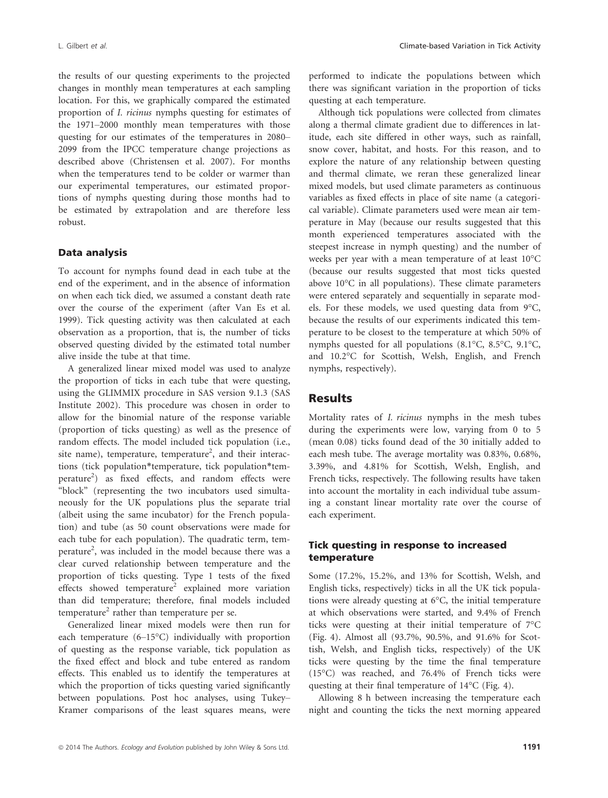the results of our questing experiments to the projected changes in monthly mean temperatures at each sampling location. For this, we graphically compared the estimated proportion of I. ricinus nymphs questing for estimates of the 1971–2000 monthly mean temperatures with those questing for our estimates of the temperatures in 2080– 2099 from the IPCC temperature change projections as described above (Christensen et al. 2007). For months when the temperatures tend to be colder or warmer than our experimental temperatures, our estimated proportions of nymphs questing during those months had to be estimated by extrapolation and are therefore less robust.

#### Data analysis

To account for nymphs found dead in each tube at the end of the experiment, and in the absence of information on when each tick died, we assumed a constant death rate over the course of the experiment (after Van Es et al. 1999). Tick questing activity was then calculated at each observation as a proportion, that is, the number of ticks observed questing divided by the estimated total number alive inside the tube at that time.

A generalized linear mixed model was used to analyze the proportion of ticks in each tube that were questing, using the GLIMMIX procedure in SAS version 9.1.3 (SAS Institute 2002). This procedure was chosen in order to allow for the binomial nature of the response variable (proportion of ticks questing) as well as the presence of random effects. The model included tick population (i.e., site name), temperature, temperature<sup>2</sup>, and their interactions (tick population\*temperature, tick population\*temperature<sup>2</sup>) as fixed effects, and random effects were "block" (representing the two incubators used simultaneously for the UK populations plus the separate trial (albeit using the same incubator) for the French population) and tube (as 50 count observations were made for each tube for each population). The quadratic term, temperature<sup>2</sup>, was included in the model because there was a clear curved relationship between temperature and the proportion of ticks questing. Type 1 tests of the fixed effects showed temperature<sup>2</sup> explained more variation than did temperature; therefore, final models included temperature<sup>2</sup> rather than temperature per se.

Generalized linear mixed models were then run for each temperature (6–15°C) individually with proportion of questing as the response variable, tick population as the fixed effect and block and tube entered as random effects. This enabled us to identify the temperatures at which the proportion of ticks questing varied significantly between populations. Post hoc analyses, using Tukey– Kramer comparisons of the least squares means, were performed to indicate the populations between which there was significant variation in the proportion of ticks questing at each temperature.

Although tick populations were collected from climates along a thermal climate gradient due to differences in latitude, each site differed in other ways, such as rainfall, snow cover, habitat, and hosts. For this reason, and to explore the nature of any relationship between questing and thermal climate, we reran these generalized linear mixed models, but used climate parameters as continuous variables as fixed effects in place of site name (a categorical variable). Climate parameters used were mean air temperature in May (because our results suggested that this month experienced temperatures associated with the steepest increase in nymph questing) and the number of weeks per year with a mean temperature of at least 10°C (because our results suggested that most ticks quested above 10°C in all populations). These climate parameters were entered separately and sequentially in separate models. For these models, we used questing data from 9°C, because the results of our experiments indicated this temperature to be closest to the temperature at which 50% of nymphs quested for all populations (8.1°C, 8.5°C, 9.1°C, and 10.2°C for Scottish, Welsh, English, and French nymphs, respectively).

#### **Results**

Mortality rates of I. ricinus nymphs in the mesh tubes during the experiments were low, varying from 0 to 5 (mean 0.08) ticks found dead of the 30 initially added to each mesh tube. The average mortality was 0.83%, 0.68%, 3.39%, and 4.81% for Scottish, Welsh, English, and French ticks, respectively. The following results have taken into account the mortality in each individual tube assuming a constant linear mortality rate over the course of each experiment.

### Tick questing in response to increased temperature

Some (17.2%, 15.2%, and 13% for Scottish, Welsh, and English ticks, respectively) ticks in all the UK tick populations were already questing at 6°C, the initial temperature at which observations were started, and 9.4% of French ticks were questing at their initial temperature of 7°C (Fig. 4). Almost all (93.7%, 90.5%, and 91.6% for Scottish, Welsh, and English ticks, respectively) of the UK ticks were questing by the time the final temperature (15°C) was reached, and 76.4% of French ticks were questing at their final temperature of 14°C (Fig. 4).

Allowing 8 h between increasing the temperature each night and counting the ticks the next morning appeared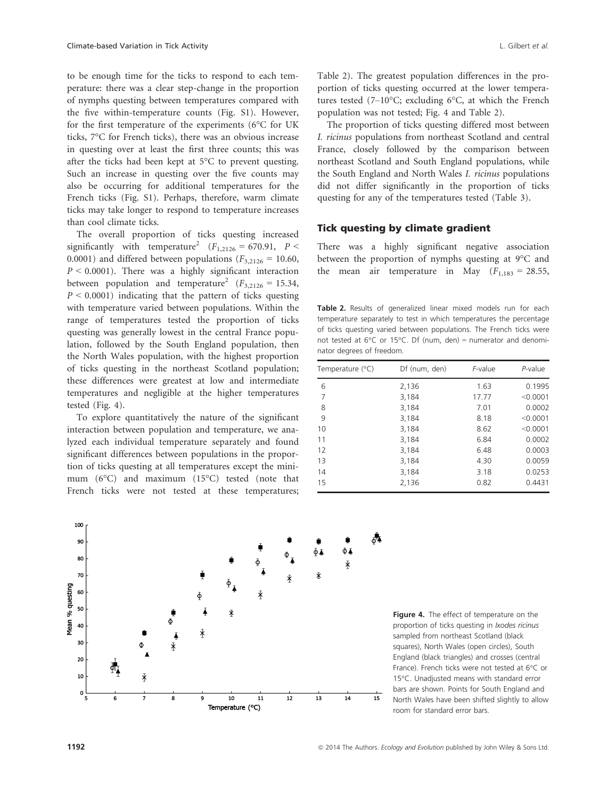to be enough time for the ticks to respond to each temperature: there was a clear step-change in the proportion of nymphs questing between temperatures compared with the five within-temperature counts (Fig. S1). However, for the first temperature of the experiments (6°C for UK ticks, 7°C for French ticks), there was an obvious increase in questing over at least the first three counts; this was after the ticks had been kept at 5°C to prevent questing. Such an increase in questing over the five counts may also be occurring for additional temperatures for the French ticks (Fig. S1). Perhaps, therefore, warm climate ticks may take longer to respond to temperature increases than cool climate ticks.

The overall proportion of ticks questing increased significantly with temperature<sup>2</sup>  $(F_{1,2126} = 670.91, P <$ 0.0001) and differed between populations ( $F_{3,2126} = 10.60$ ,  $P < 0.0001$ ). There was a highly significant interaction between population and temperature<sup>2</sup> ( $F_{3,2126} = 15.34$ ,  $P < 0.0001$ ) indicating that the pattern of ticks questing with temperature varied between populations. Within the range of temperatures tested the proportion of ticks questing was generally lowest in the central France population, followed by the South England population, then the North Wales population, with the highest proportion of ticks questing in the northeast Scotland population; these differences were greatest at low and intermediate temperatures and negligible at the higher temperatures tested (Fig. 4).

To explore quantitatively the nature of the significant interaction between population and temperature, we analyzed each individual temperature separately and found significant differences between populations in the proportion of ticks questing at all temperatures except the minimum (6°C) and maximum (15°C) tested (note that French ticks were not tested at these temperatures; Table 2). The greatest population differences in the proportion of ticks questing occurred at the lower temperatures tested (7–10°C; excluding 6°C, at which the French population was not tested; Fig. 4 and Table 2).

The proportion of ticks questing differed most between I. ricinus populations from northeast Scotland and central France, closely followed by the comparison between northeast Scotland and South England populations, while the South England and North Wales I. ricinus populations did not differ significantly in the proportion of ticks questing for any of the temperatures tested (Table 3).

#### Tick questing by climate gradient

There was a highly significant negative association between the proportion of nymphs questing at 9°C and the mean air temperature in May  $(F_{1,183} = 28.55)$ ,

Table 2. Results of generalized linear mixed models run for each temperature separately to test in which temperatures the percentage of ticks questing varied between populations. The French ticks were not tested at  $6^{\circ}$ C or 15°C. Df (num, den) = numerator and denominator degrees of freedom.

| Temperature $(^{\circ}C)$ | Df (num, den) | F-value | P-value  |
|---------------------------|---------------|---------|----------|
| 6                         | 2,136         | 1.63    | 0.1995   |
| 7                         | 3,184         | 17.77   | < 0.0001 |
| 8                         | 3.184         | 7.01    | 0.0002   |
| 9                         | 3.184         | 8.18    | < 0.0001 |
| 10                        | 3.184         | 8.62    | < 0.0001 |
| 11                        | 3,184         | 6.84    | 0.0002   |
| 12                        | 3,184         | 6.48    | 0.0003   |
| 13                        | 3,184         | 4.30    | 0.0059   |
| 14                        | 3,184         | 3.18    | 0.0253   |
| 15                        | 2,136         | 0.82    | 0.4431   |



Figure 4. The effect of temperature on the proportion of ticks questing in Ixodes ricinus sampled from northeast Scotland (black squares), North Wales (open circles), South England (black triangles) and crosses (central France). French ticks were not tested at 6°C or 15°C. Unadjusted means with standard error bars are shown. Points for South England and North Wales have been shifted slightly to allow room for standard error bars.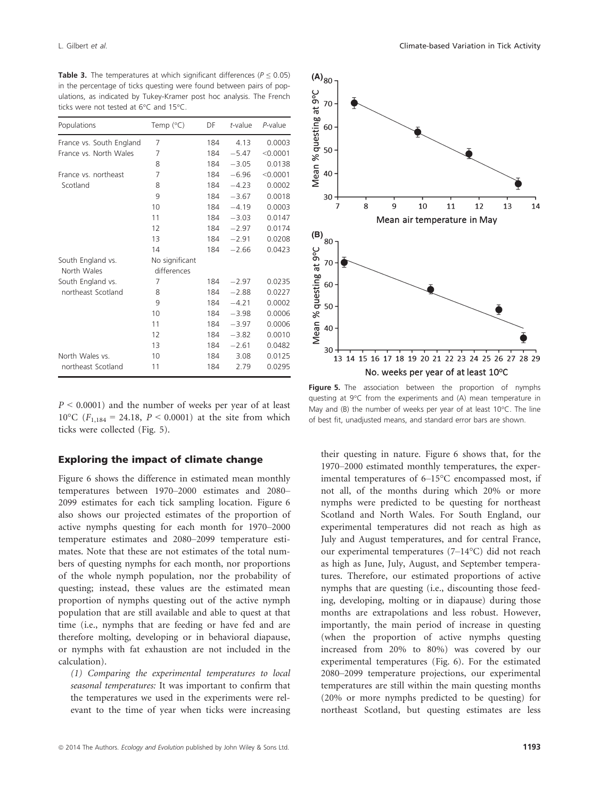| <b>Table 3.</b> The temperatures at which significant differences ( $P < 0.05$ ) |  |  |  |  |  |
|----------------------------------------------------------------------------------|--|--|--|--|--|
| in the percentage of ticks questing were found between pairs of pop-             |  |  |  |  |  |
| ulations, as indicated by Tukey-Kramer post hoc analysis. The French             |  |  |  |  |  |
| ticks were not tested at $6^{\circ}$ C and $15^{\circ}$ C.                       |  |  |  |  |  |

| Populations              | Temp $(^{\circ}C)$ | DF  | t-value | $P$ -value |
|--------------------------|--------------------|-----|---------|------------|
| France vs. South England | 7                  | 184 | 4.13    | 0.0003     |
| France vs. North Wales   | 7                  | 184 | $-5.47$ | < 0.0001   |
|                          | 8                  | 184 | $-3.05$ | 0.0138     |
| France vs. northeast     | 7                  | 184 | $-6.96$ | < 0.0001   |
| Scotland                 | 8                  | 184 | $-4.23$ | 0.0002     |
|                          | 9                  | 184 | $-3.67$ | 0.0018     |
|                          | 10                 | 184 | $-4.19$ | 0.0003     |
|                          | 11                 | 184 | $-3.03$ | 0.0147     |
|                          | 12                 | 184 | $-2.97$ | 0.0174     |
|                          | 13                 | 184 | $-2.91$ | 0.0208     |
|                          | 14                 | 184 | $-2.66$ | 0.0423     |
| South England vs.        | No significant     |     |         |            |
| North Wales              | differences        |     |         |            |
| South England vs.        | 7                  | 184 | $-2.97$ | 0.0235     |
| northeast Scotland       | 8                  | 184 | $-2.88$ | 0.0227     |
|                          | 9                  | 184 | $-4.21$ | 0.0002     |
|                          | 10                 | 184 | $-3.98$ | 0.0006     |
|                          | 11                 | 184 | $-3.97$ | 0.0006     |
|                          | 12                 | 184 | $-3.82$ | 0.0010     |
|                          | 13                 | 184 | $-2.61$ | 0.0482     |
| North Wales vs.          | 10                 | 184 | 3.08    | 0.0125     |
| northeast Scotland       | 11                 | 184 | 2.79    | 0.0295     |

 $P \le 0.0001$  and the number of weeks per year of at least 10°C ( $F_{1,184} = 24.18$ ,  $P < 0.0001$ ) at the site from which ticks were collected (Fig. 5).

### Exploring the impact of climate change

Figure 6 shows the difference in estimated mean monthly temperatures between 1970–2000 estimates and 2080– 2099 estimates for each tick sampling location. Figure 6 also shows our projected estimates of the proportion of active nymphs questing for each month for 1970–2000 temperature estimates and 2080–2099 temperature estimates. Note that these are not estimates of the total numbers of questing nymphs for each month, nor proportions of the whole nymph population, nor the probability of questing; instead, these values are the estimated mean proportion of nymphs questing out of the active nymph population that are still available and able to quest at that time (i.e., nymphs that are feeding or have fed and are therefore molting, developing or in behavioral diapause, or nymphs with fat exhaustion are not included in the calculation).

(1) Comparing the experimental temperatures to local seasonal temperatures: It was important to confirm that the temperatures we used in the experiments were relevant to the time of year when ticks were increasing



Figure 5. The association between the proportion of nymphs questing at 9°C from the experiments and (A) mean temperature in May and (B) the number of weeks per year of at least 10°C. The line of best fit, unadjusted means, and standard error bars are shown.

their questing in nature. Figure 6 shows that, for the 1970–2000 estimated monthly temperatures, the experimental temperatures of 6–15°C encompassed most, if not all, of the months during which 20% or more nymphs were predicted to be questing for northeast Scotland and North Wales. For South England, our experimental temperatures did not reach as high as July and August temperatures, and for central France, our experimental temperatures (7–14°C) did not reach as high as June, July, August, and September temperatures. Therefore, our estimated proportions of active nymphs that are questing (i.e., discounting those feeding, developing, molting or in diapause) during those months are extrapolations and less robust. However, importantly, the main period of increase in questing (when the proportion of active nymphs questing increased from 20% to 80%) was covered by our experimental temperatures (Fig. 6). For the estimated 2080–2099 temperature projections, our experimental temperatures are still within the main questing months (20% or more nymphs predicted to be questing) for northeast Scotland, but questing estimates are less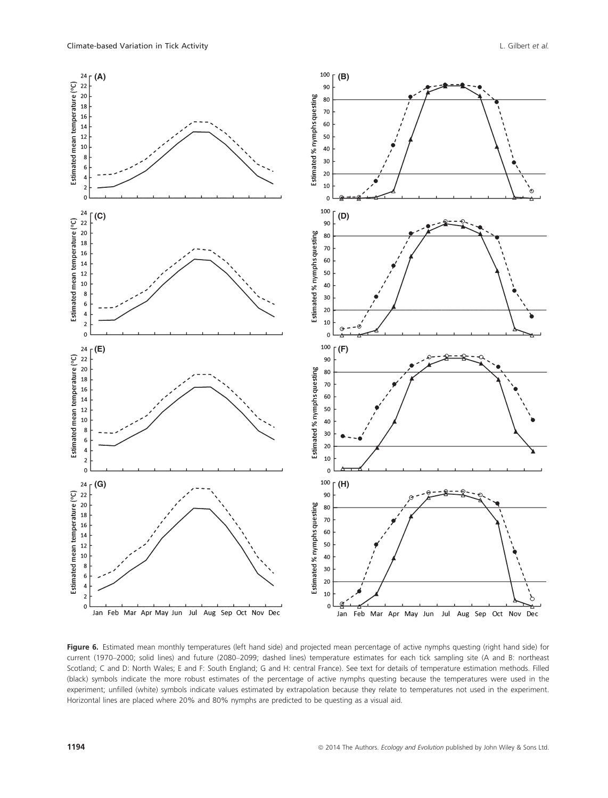

Figure 6. Estimated mean monthly temperatures (left hand side) and projected mean percentage of active nymphs questing (right hand side) for current (1970–2000; solid lines) and future (2080–2099; dashed lines) temperature estimates for each tick sampling site (A and B: northeast Scotland; C and D: North Wales; E and F: South England; G and H: central France). See text for details of temperature estimation methods. Filled (black) symbols indicate the more robust estimates of the percentage of active nymphs questing because the temperatures were used in the experiment; unfilled (white) symbols indicate values estimated by extrapolation because they relate to temperatures not used in the experiment. Horizontal lines are placed where 20% and 80% nymphs are predicted to be questing as a visual aid.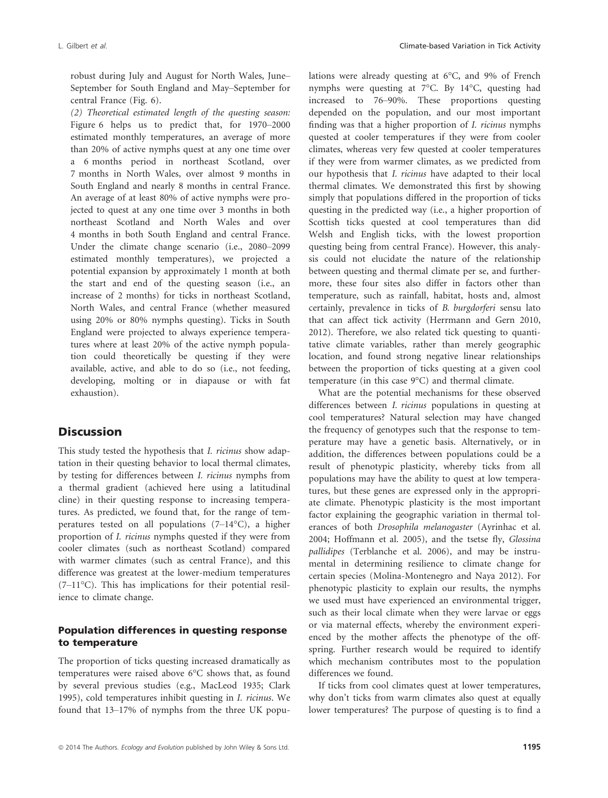robust during July and August for North Wales, June– September for South England and May–September for central France (Fig. 6).

(2) Theoretical estimated length of the questing season: Figure 6 helps us to predict that, for 1970–2000 estimated monthly temperatures, an average of more than 20% of active nymphs quest at any one time over a 6 months period in northeast Scotland, over 7 months in North Wales, over almost 9 months in South England and nearly 8 months in central France. An average of at least 80% of active nymphs were projected to quest at any one time over 3 months in both northeast Scotland and North Wales and over 4 months in both South England and central France. Under the climate change scenario (i.e., 2080–2099 estimated monthly temperatures), we projected a potential expansion by approximately 1 month at both the start and end of the questing season (i.e., an increase of 2 months) for ticks in northeast Scotland, North Wales, and central France (whether measured using 20% or 80% nymphs questing). Ticks in South England were projected to always experience temperatures where at least 20% of the active nymph population could theoretically be questing if they were available, active, and able to do so (i.e., not feeding, developing, molting or in diapause or with fat exhaustion).

## **Discussion**

This study tested the hypothesis that I. ricinus show adaptation in their questing behavior to local thermal climates, by testing for differences between I. ricinus nymphs from a thermal gradient (achieved here using a latitudinal cline) in their questing response to increasing temperatures. As predicted, we found that, for the range of temperatures tested on all populations (7–14°C), a higher proportion of I. ricinus nymphs quested if they were from cooler climates (such as northeast Scotland) compared with warmer climates (such as central France), and this difference was greatest at the lower-medium temperatures (7–11°C). This has implications for their potential resilience to climate change.

### Population differences in questing response to temperature

The proportion of ticks questing increased dramatically as temperatures were raised above 6°C shows that, as found by several previous studies (e.g., MacLeod 1935; Clark 1995), cold temperatures inhibit questing in I. ricinus. We found that 13–17% of nymphs from the three UK populations were already questing at 6°C, and 9% of French nymphs were questing at 7°C. By 14°C, questing had increased to 76–90%. These proportions questing depended on the population, and our most important finding was that a higher proportion of I. ricinus nymphs quested at cooler temperatures if they were from cooler climates, whereas very few quested at cooler temperatures if they were from warmer climates, as we predicted from our hypothesis that I. ricinus have adapted to their local thermal climates. We demonstrated this first by showing simply that populations differed in the proportion of ticks questing in the predicted way (i.e., a higher proportion of Scottish ticks quested at cool temperatures than did Welsh and English ticks, with the lowest proportion questing being from central France). However, this analysis could not elucidate the nature of the relationship between questing and thermal climate per se, and furthermore, these four sites also differ in factors other than temperature, such as rainfall, habitat, hosts and, almost certainly, prevalence in ticks of B. burgdorferi sensu lato that can affect tick activity (Herrmann and Gern 2010, 2012). Therefore, we also related tick questing to quantitative climate variables, rather than merely geographic location, and found strong negative linear relationships between the proportion of ticks questing at a given cool temperature (in this case 9°C) and thermal climate.

What are the potential mechanisms for these observed differences between I. ricinus populations in questing at cool temperatures? Natural selection may have changed the frequency of genotypes such that the response to temperature may have a genetic basis. Alternatively, or in addition, the differences between populations could be a result of phenotypic plasticity, whereby ticks from all populations may have the ability to quest at low temperatures, but these genes are expressed only in the appropriate climate. Phenotypic plasticity is the most important factor explaining the geographic variation in thermal tolerances of both Drosophila melanogaster (Ayrinhac et al. 2004; Hoffmann et al. 2005), and the tsetse fly, Glossina pallidipes (Terblanche et al. 2006), and may be instrumental in determining resilience to climate change for certain species (Molina-Montenegro and Naya 2012). For phenotypic plasticity to explain our results, the nymphs we used must have experienced an environmental trigger, such as their local climate when they were larvae or eggs or via maternal effects, whereby the environment experienced by the mother affects the phenotype of the offspring. Further research would be required to identify which mechanism contributes most to the population differences we found.

If ticks from cool climates quest at lower temperatures, why don't ticks from warm climates also quest at equally lower temperatures? The purpose of questing is to find a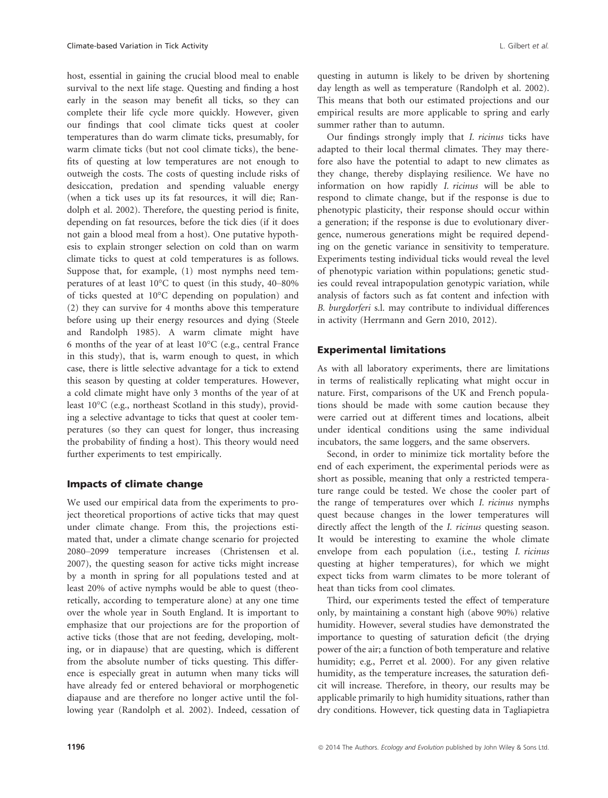host, essential in gaining the crucial blood meal to enable survival to the next life stage. Questing and finding a host early in the season may benefit all ticks, so they can complete their life cycle more quickly. However, given our findings that cool climate ticks quest at cooler temperatures than do warm climate ticks, presumably, for warm climate ticks (but not cool climate ticks), the benefits of questing at low temperatures are not enough to outweigh the costs. The costs of questing include risks of desiccation, predation and spending valuable energy (when a tick uses up its fat resources, it will die; Randolph et al. 2002). Therefore, the questing period is finite, depending on fat resources, before the tick dies (if it does not gain a blood meal from a host). One putative hypothesis to explain stronger selection on cold than on warm climate ticks to quest at cold temperatures is as follows. Suppose that, for example, (1) most nymphs need temperatures of at least 10°C to quest (in this study, 40–80% of ticks quested at 10°C depending on population) and (2) they can survive for 4 months above this temperature before using up their energy resources and dying (Steele and Randolph 1985). A warm climate might have 6 months of the year of at least 10°C (e.g., central France in this study), that is, warm enough to quest, in which case, there is little selective advantage for a tick to extend this season by questing at colder temperatures. However, a cold climate might have only 3 months of the year of at least 10°C (e.g., northeast Scotland in this study), providing a selective advantage to ticks that quest at cooler temperatures (so they can quest for longer, thus increasing the probability of finding a host). This theory would need further experiments to test empirically.

#### Impacts of climate change

We used our empirical data from the experiments to project theoretical proportions of active ticks that may quest under climate change. From this, the projections estimated that, under a climate change scenario for projected 2080–2099 temperature increases (Christensen et al. 2007), the questing season for active ticks might increase by a month in spring for all populations tested and at least 20% of active nymphs would be able to quest (theoretically, according to temperature alone) at any one time over the whole year in South England. It is important to emphasize that our projections are for the proportion of active ticks (those that are not feeding, developing, molting, or in diapause) that are questing, which is different from the absolute number of ticks questing. This difference is especially great in autumn when many ticks will have already fed or entered behavioral or morphogenetic diapause and are therefore no longer active until the following year (Randolph et al. 2002). Indeed, cessation of questing in autumn is likely to be driven by shortening day length as well as temperature (Randolph et al. 2002). This means that both our estimated projections and our empirical results are more applicable to spring and early summer rather than to autumn.

Our findings strongly imply that I. ricinus ticks have adapted to their local thermal climates. They may therefore also have the potential to adapt to new climates as they change, thereby displaying resilience. We have no information on how rapidly I. ricinus will be able to respond to climate change, but if the response is due to phenotypic plasticity, their response should occur within a generation; if the response is due to evolutionary divergence, numerous generations might be required depending on the genetic variance in sensitivity to temperature. Experiments testing individual ticks would reveal the level of phenotypic variation within populations; genetic studies could reveal intrapopulation genotypic variation, while analysis of factors such as fat content and infection with B. burgdorferi s.l. may contribute to individual differences in activity (Herrmann and Gern 2010, 2012).

### Experimental limitations

As with all laboratory experiments, there are limitations in terms of realistically replicating what might occur in nature. First, comparisons of the UK and French populations should be made with some caution because they were carried out at different times and locations, albeit under identical conditions using the same individual incubators, the same loggers, and the same observers.

Second, in order to minimize tick mortality before the end of each experiment, the experimental periods were as short as possible, meaning that only a restricted temperature range could be tested. We chose the cooler part of the range of temperatures over which I. ricinus nymphs quest because changes in the lower temperatures will directly affect the length of the I. ricinus questing season. It would be interesting to examine the whole climate envelope from each population (i.e., testing I. ricinus questing at higher temperatures), for which we might expect ticks from warm climates to be more tolerant of heat than ticks from cool climates.

Third, our experiments tested the effect of temperature only, by maintaining a constant high (above 90%) relative humidity. However, several studies have demonstrated the importance to questing of saturation deficit (the drying power of the air; a function of both temperature and relative humidity; e.g., Perret et al. 2000). For any given relative humidity, as the temperature increases, the saturation deficit will increase. Therefore, in theory, our results may be applicable primarily to high humidity situations, rather than dry conditions. However, tick questing data in Tagliapietra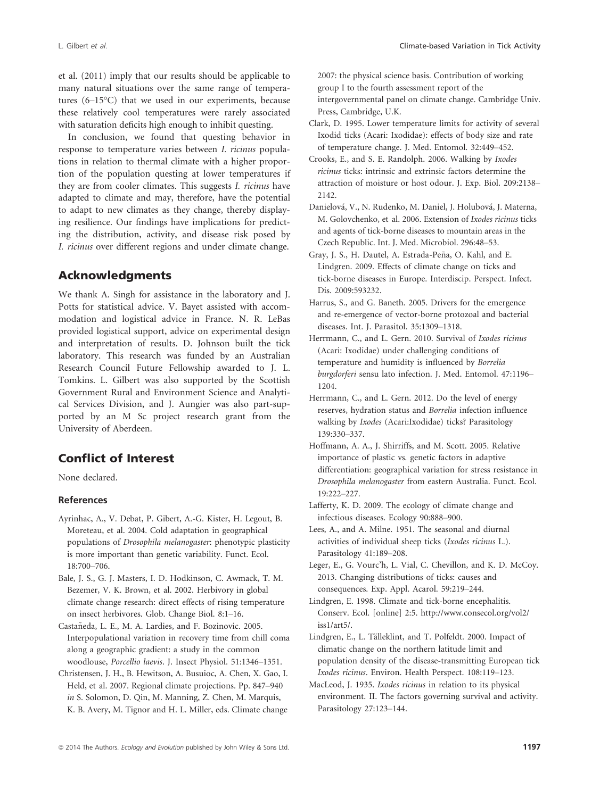et al. (2011) imply that our results should be applicable to many natural situations over the same range of temperatures (6–15°C) that we used in our experiments, because these relatively cool temperatures were rarely associated with saturation deficits high enough to inhibit questing.

In conclusion, we found that questing behavior in response to temperature varies between I. ricinus populations in relation to thermal climate with a higher proportion of the population questing at lower temperatures if they are from cooler climates. This suggests I. ricinus have adapted to climate and may, therefore, have the potential to adapt to new climates as they change, thereby displaying resilience. Our findings have implications for predicting the distribution, activity, and disease risk posed by I. ricinus over different regions and under climate change.

## Acknowledgments

We thank A. Singh for assistance in the laboratory and J. Potts for statistical advice. V. Bayet assisted with accommodation and logistical advice in France. N. R. LeBas provided logistical support, advice on experimental design and interpretation of results. D. Johnson built the tick laboratory. This research was funded by an Australian Research Council Future Fellowship awarded to J. L. Tomkins. L. Gilbert was also supported by the Scottish Government Rural and Environment Science and Analytical Services Division, and J. Aungier was also part-supported by an M Sc project research grant from the University of Aberdeen.

# Conflict of Interest

None declared.

#### References

- Ayrinhac, A., V. Debat, P. Gibert, A.-G. Kister, H. Legout, B. Moreteau, et al. 2004. Cold adaptation in geographical populations of Drosophila melanogaster: phenotypic plasticity is more important than genetic variability. Funct. Ecol. 18:700–706.
- Bale, J. S., G. J. Masters, I. D. Hodkinson, C. Awmack, T. M. Bezemer, V. K. Brown, et al. 2002. Herbivory in global climate change research: direct effects of rising temperature on insect herbivores. Glob. Change Biol. 8:1–16.
- Castañeda, L. E., M. A. Lardies, and F. Bozinovic. 2005. Interpopulational variation in recovery time from chill coma along a geographic gradient: a study in the common woodlouse, Porcellio laevis. J. Insect Physiol. 51:1346–1351.
- Christensen, J. H., B. Hewitson, A. Busuioc, A. Chen, X. Gao, I. Held, et al. 2007. Regional climate projections. Pp. 847–940 in S. Solomon, D. Qin, M. Manning, Z. Chen, M. Marquis, K. B. Avery, M. Tignor and H. L. Miller, eds. Climate change

2007: the physical science basis. Contribution of working group I to the fourth assessment report of the intergovernmental panel on climate change. Cambridge Univ. Press, Cambridge, U.K.

- Clark, D. 1995. Lower temperature limits for activity of several Ixodid ticks (Acari: Ixodidae): effects of body size and rate of temperature change. J. Med. Entomol. 32:449–452.
- Crooks, E., and S. E. Randolph. 2006. Walking by Ixodes ricinus ticks: intrinsic and extrinsic factors determine the attraction of moisture or host odour. J. Exp. Biol. 209:2138– 2142.
- Danielová, V., N. Rudenko, M. Daniel, J. Holubová, J. Materna, M. Golovchenko, et al. 2006. Extension of Ixodes ricinus ticks and agents of tick-borne diseases to mountain areas in the Czech Republic. Int. J. Med. Microbiol. 296:48–53.
- Gray, J. S., H. Dautel, A. Estrada-Peña, O. Kahl, and E. Lindgren. 2009. Effects of climate change on ticks and tick-borne diseases in Europe. Interdiscip. Perspect. Infect. Dis. 2009:593232.
- Harrus, S., and G. Baneth. 2005. Drivers for the emergence and re-emergence of vector-borne protozoal and bacterial diseases. Int. J. Parasitol. 35:1309–1318.
- Herrmann, C., and L. Gern. 2010. Survival of Ixodes ricinus (Acari: Ixodidae) under challenging conditions of temperature and humidity is influenced by Borrelia burgdorferi sensu lato infection. J. Med. Entomol. 47:1196– 1204.
- Herrmann, C., and L. Gern. 2012. Do the level of energy reserves, hydration status and Borrelia infection influence walking by Ixodes (Acari:Ixodidae) ticks? Parasitology 139:330–337.
- Hoffmann, A. A., J. Shirriffs, and M. Scott. 2005. Relative importance of plastic vs. genetic factors in adaptive differentiation: geographical variation for stress resistance in Drosophila melanogaster from eastern Australia. Funct. Ecol. 19:222–227.
- Lafferty, K. D. 2009. The ecology of climate change and infectious diseases. Ecology 90:888–900.
- Lees, A., and A. Milne. 1951. The seasonal and diurnal activities of individual sheep ticks (Ixodes ricinus L.). Parasitology 41:189–208.
- Leger, E., G. Vourc'h, L. Vial, C. Chevillon, and K. D. McCoy. 2013. Changing distributions of ticks: causes and consequences. Exp. Appl. Acarol. 59:219–244.
- Lindgren, E. 1998. Climate and tick-borne encephalitis. Conserv. Ecol. [online] 2:5. http://www.consecol.org/vol2/ iss1/art5/.
- Lindgren, E., L. Tälleklint, and T. Polfeldt. 2000. Impact of climatic change on the northern latitude limit and population density of the disease-transmitting European tick Ixodes ricinus. Environ. Health Perspect. 108:119–123.
- MacLeod, J. 1935. Ixodes ricinus in relation to its physical environment. II. The factors governing survival and activity. Parasitology 27:123–144.